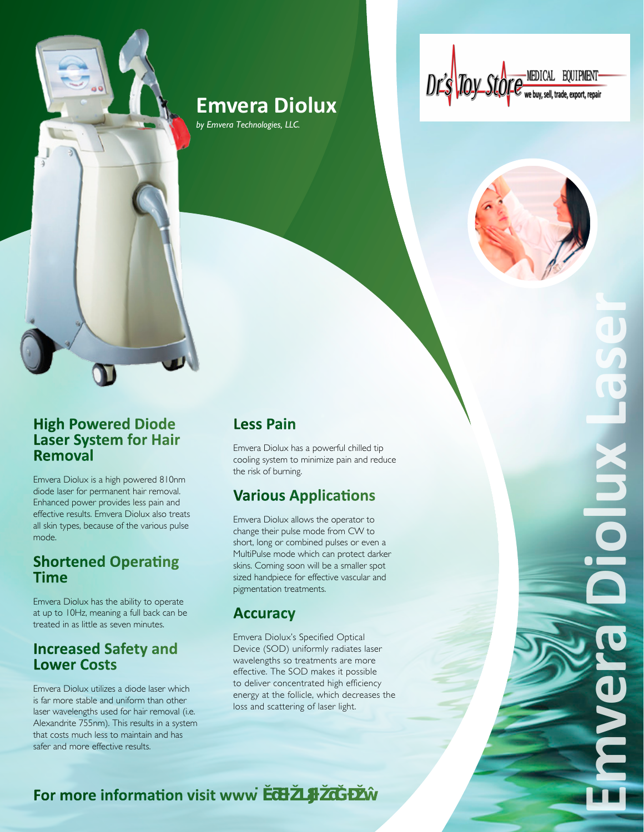# **Emvera Diolux**

*by Emvera Technologies, LLC.*

Dr's Toy Sto



#### **High Powered Diode Laser System for Hair Removal**

Emvera Diolux is a high powered 810nm diode laser for permanent hair removal. Enhanced power provides less pain and effective results. Emvera Diolux also treats all skin types, because of the various pulse mode.

### **Shortened Operating Time**

Emvera Diolux has the ability to operate at up to 10Hz, meaning a full back can be treated in as little as seven minutes.

### **Increased Safety and Lower Costs**

Emvera Diolux utilizes a diode laser which is far more stable and uniform than other laser wavelengths used for hair removal (i.e. Alexandrite 755nm). This results in a system that costs much less to maintain and has safer and more effective results.

### **Less Pain**

Emvera Diolux has a powerful chilled tip cooling system to minimize pain and reduce the risk of burning.

## **Various Applications**

Emvera Diolux allows the operator to change their pulse mode from CW to short, long or combined pulses or even a MultiPulse mode which can protect darker skins. Coming soon will be a smaller spot sized handpiece for effective vascular and pigmentation treatments.

### **Accuracy**

Emvera Diolux's Specified Optical Device (SOD) uniformly radiates laser wavelengths so treatments are more effective. The SOD makes it possible to deliver concentrated high efficiency energy at the follicle, which decreases the loss and scattering of laser light.

**Emvera Diolux Laser**Diolu

### **For more information visit www**